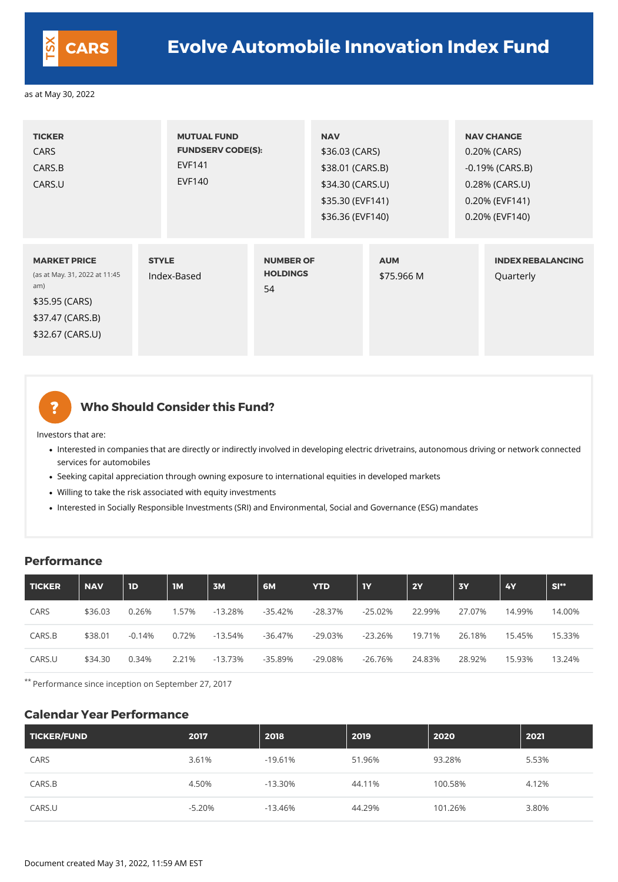| <b>TICKER</b><br><b>CARS</b><br>CARS.B<br>CARS.U                                                                      | <b>MUTUAL FUND</b><br><b>EVF141</b><br><b>EVF140</b> | <b>FUNDSERV CODE(S):</b>                  |  | <b>NAV</b><br>\$36.03 (CARS)<br>\$38.01 (CARS.B)<br>\$34.30 (CARS.U)<br>\$35.30 (EVF141)<br>\$36.36 (EVF140) |  | <b>NAV CHANGE</b><br>0.20% (CARS)<br>$-0.19%$ (CARS.B)<br>0.28% (CARS.U)<br>0.20% (EVF141)<br>0.20% (EVF140) |  |
|-----------------------------------------------------------------------------------------------------------------------|------------------------------------------------------|-------------------------------------------|--|--------------------------------------------------------------------------------------------------------------|--|--------------------------------------------------------------------------------------------------------------|--|
| <b>MARKET PRICE</b><br>(as at May. 31, 2022 at 11:45<br>am)<br>\$35.95 (CARS)<br>\$37.47 (CARS.B)<br>\$32.67 (CARS.U) | <b>STYLE</b><br>Index-Based                          | <b>NUMBER OF</b><br><b>HOLDINGS</b><br>54 |  | <b>AUM</b><br>\$75.966 M                                                                                     |  | <b>INDEX REBALANCING</b><br>Quarterly                                                                        |  |

2

## **Who Should Consider this Fund?**

- Interested in companies that are directly or indirectly involved in developing electric drivetrains, autonomous driving or network connected services for automobiles
- Seeking capital appreciation through owning exposure to international equities in developed markets
- Willing to take the risk associated with equity investments
- Interested in Socially Responsible Investments (SRI) and Environmental, Social and Governance (ESG) mandates

Investors that are:

#### **Performance**

| <b>TICKER</b> | <b>NAV</b> | 1 <sub>D</sub> | <b>1M</b> | 3M        | 6M         | <b>YTD</b> | <b>TY</b> | <b>2Y</b> | <b>3Y</b> | <b>4Y</b> | $SI**$ |
|---------------|------------|----------------|-----------|-----------|------------|------------|-----------|-----------|-----------|-----------|--------|
| <b>CARS</b>   | \$36.03    | 0.26%          | 1.57%     | $-13.28%$ | -35.42%    | $-28.37%$  | $-25.02%$ | 22.99%    | 27.07%    | 14.99%    | 14.00% |
| CARS.B        | \$38.01    | $-0.14%$       | 0.72%     | $-13.54%$ | $-36.47\%$ | $-29.03%$  | $-23.26%$ | 19.71%    | 26.18%    | 15.45%    | 15.33% |
| CARS.U        | \$34.30    | 0.34%          | 2.21%     | $-13.73%$ | $-35.89%$  | $-29.08%$  | $-26.76%$ | 24.83%    | 28.92%    | 15.93%    | 13.24% |

\*\* Performance since inception on September 27, 2017

#### **Calendar Year Performance**

| TICKER/FUND | 2017     | 2018       | 2019   | 2020    | 2021  |
|-------------|----------|------------|--------|---------|-------|
| CARS        | 3.61%    | $-19.61\%$ | 51.96% | 93.28%  | 5.53% |
| CARS.B      | 4.50%    | $-13.30\%$ | 44.11% | 100.58% | 4.12% |
| CARS.U      | $-5.20%$ | -13.46%    | 44.29% | 101.26% | 3.80% |



# **CARS Evolve Automobile Innovation Index Fund**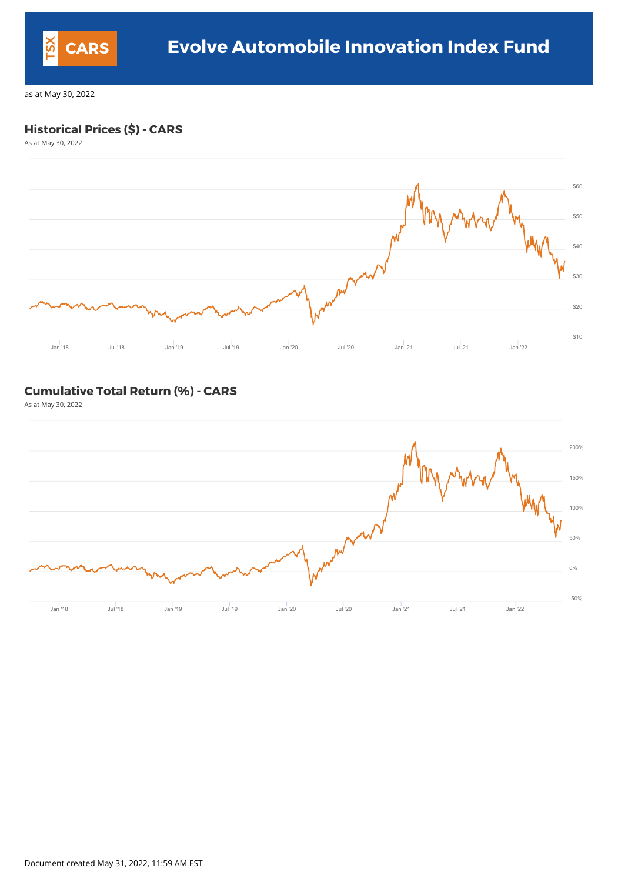## **Historical Prices (\$) - CARS**

As at May 30, 2022



#### **Cumulative Total Return (%) - CARS**

As at May 30, 2022



Document created May 31, 2022, 11:59 AM EST

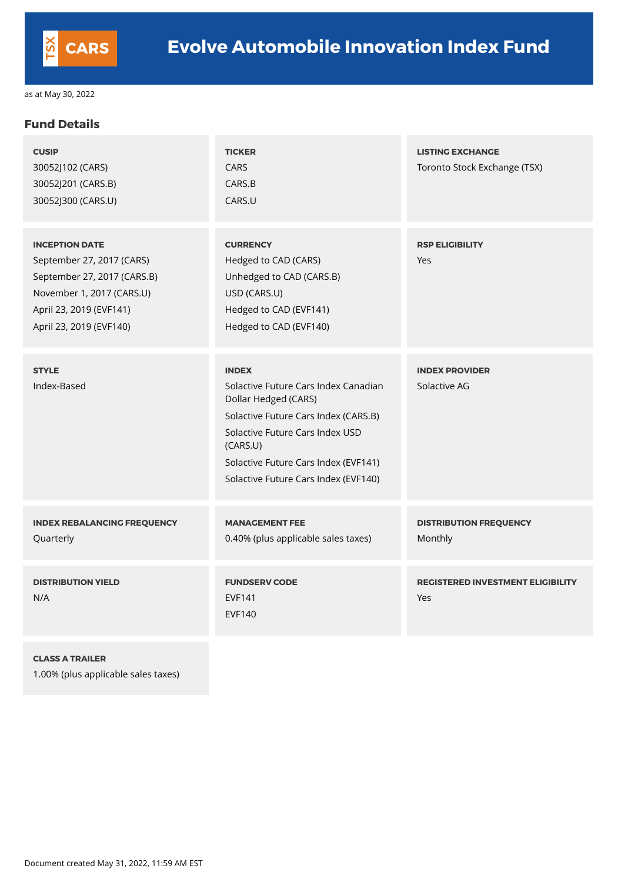#### **Fund Details**

| <b>CUSIP</b><br>30052J102 (CARS)<br>30052J201 (CARS.B)<br>30052J300 (CARS.U)                                                                                         | <b>TICKER</b><br><b>CARS</b><br>CARS.B<br>CARS.U                                                                                                                                                                                                    | <b>LISTING EXCHANGE</b><br>Toronto Stock Exchange (TSX) |
|----------------------------------------------------------------------------------------------------------------------------------------------------------------------|-----------------------------------------------------------------------------------------------------------------------------------------------------------------------------------------------------------------------------------------------------|---------------------------------------------------------|
| <b>INCEPTION DATE</b><br>September 27, 2017 (CARS)<br>September 27, 2017 (CARS.B)<br>November 1, 2017 (CARS.U)<br>April 23, 2019 (EVF141)<br>April 23, 2019 (EVF140) | <b>CURRENCY</b><br>Hedged to CAD (CARS)<br>Unhedged to CAD (CARS.B)<br>USD (CARS.U)<br>Hedged to CAD (EVF141)<br>Hedged to CAD (EVF140)                                                                                                             | <b>RSP ELIGIBILITY</b><br>Yes                           |
| <b>STYLE</b><br>Index-Based                                                                                                                                          | <b>INDEX</b><br>Solactive Future Cars Index Canadian<br>Dollar Hedged (CARS)<br>Solactive Future Cars Index (CARS.B)<br>Solactive Future Cars Index USD<br>(CARS.U)<br>Solactive Future Cars Index (EVF141)<br>Solactive Future Cars Index (EVF140) | <b>INDEX PROVIDER</b><br>Solactive AG                   |
| <b>INDEX REBALANCING FREQUENCY</b><br>Quarterly                                                                                                                      | <b>MANAGEMENT FEE</b><br>0.40% (plus applicable sales taxes)                                                                                                                                                                                        | <b>DISTRIBUTION FREQUENCY</b><br>Monthly                |
| <b>DISTRIBUTION YIELD</b><br>N/A                                                                                                                                     | <b>FUNDSERV CODE</b><br><b>EVF141</b>                                                                                                                                                                                                               | <b>REGISTERED INVESTMENT ELIGIBILITY</b><br>Yes         |

EVF140

#### **CLASS A TRAILER**

1.00% (plus applicable sales taxes)

Document created May 31, 2022, 11:59 AM EST

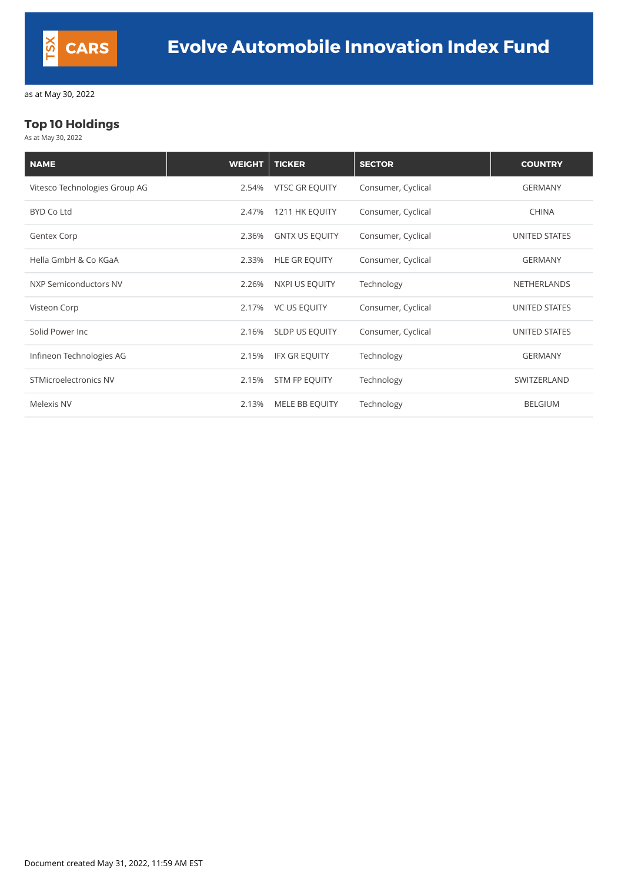### **Top 10 Holdings**

As at May 30, 2022

| <b>NAME</b>                   | <b>WEIGHT</b> | <b>TICKER</b>         | <b>SECTOR</b>      | <b>COUNTRY</b>       |
|-------------------------------|---------------|-----------------------|--------------------|----------------------|
| Vitesco Technologies Group AG | 2.54%         | <b>VTSC GR EQUITY</b> | Consumer, Cyclical | <b>GERMANY</b>       |
| <b>BYD Co Ltd</b>             | 2.47%         | 1211 HK EQUITY        | Consumer, Cyclical | <b>CHINA</b>         |
| <b>Gentex Corp</b>            | 2.36%         | <b>GNTX US EQUITY</b> | Consumer, Cyclical | <b>UNITED STATES</b> |
| Hella GmbH & Co KGaA          | 2.33%         | <b>HLE GR EQUITY</b>  | Consumer, Cyclical | <b>GERMANY</b>       |
| NXP Semiconductors NV         | 2.26%         | NXPI US EQUITY        | Technology         | <b>NETHERLANDS</b>   |
| Visteon Corp                  | 2.17%         | <b>VC US EQUITY</b>   | Consumer, Cyclical | <b>UNITED STATES</b> |
| Solid Power Inc               | 2.16%         | SLDP US EQUITY        | Consumer, Cyclical | UNITED STATES        |
| Infineon Technologies AG      | 2.15%         | <b>IFX GR EQUITY</b>  | Technology         | <b>GERMANY</b>       |
| <b>STMicroelectronics NV</b>  | 2.15%         | STM FP EQUITY         | Technology         | SWITZERLAND          |
| Melexis NV                    | 2.13%         | MELE BB EQUITY        | Technology         | <b>BELGIUM</b>       |

Document created May 31, 2022, 11:59 AM EST

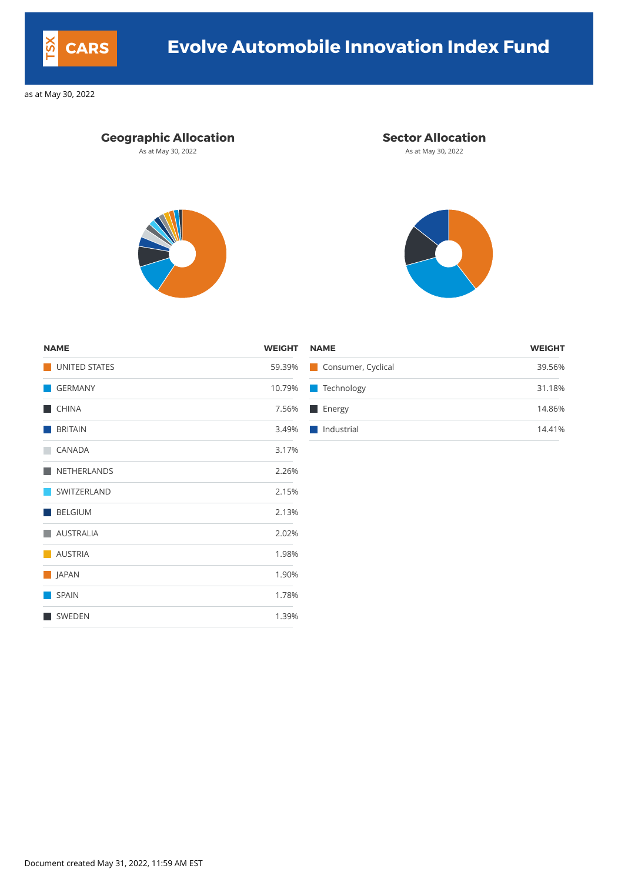# **Geographic Allocation Sector Allocation**

As at May 30, 2022 **As at May 30, 2022** As at May 30, 2022





| <b>NAME</b>    | <b>WEIGHT NAME</b><br><b>WEIGHT</b> |
|----------------|-------------------------------------|
| UNITED STATES  | 59.39% Consumer, Cyclical<br>39.56% |
| GERMANY        | 10.79% Technology<br>31.18%         |
| <b>CHINA</b>   | 14.86%<br>7.56% Energy              |
| <b>BRITAIN</b> | 3.49%   Industrial<br>14.41%        |

SWEDEN 1.39%

| <b>NAME</b>          | <b>WEIGHT</b> |
|----------------------|---------------|
| <b>UNITED STATES</b> | 59.39%        |
| <b>GERMANY</b>       | 10.79%        |
| <b>CHINA</b>         | 7.56%         |
| <b>BRITAIN</b>       | 3.49%         |
| <b>CANADA</b>        | 3.17%         |
| <b>NETHERLANDS</b>   | 2.26%         |
| SWITZERLAND          | 2.15%         |
| <b>BELGIUM</b>       | 2.13%         |
| <b>AUSTRALIA</b>     | 2.02%         |
| <b>AUSTRIA</b>       | 1.98%         |
| JAPAN                | 1.90%         |
| <b>SPAIN</b>         | 1.78%         |

Document created May 31, 2022, 11:59 AM EST



# **CARS Evolve Automobile Innovation Index Fund**